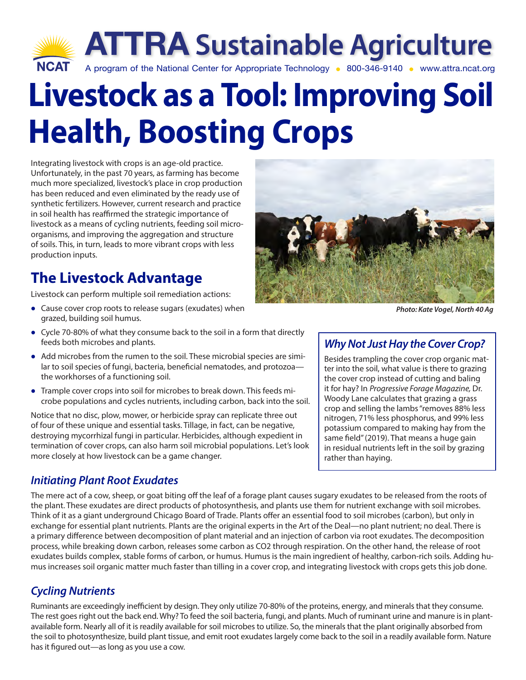

# **Livestock as a Tool: Improving Soil Health, Boosting Crops**

Integrating livestock with crops is an age-old practice. Unfortunately, in the past 70 years, as farming has become much more specialized, livestock's place in crop production has been reduced and even eliminated by the ready use of synthetic fertilizers. However, current research and practice in soil health has reaffirmed the strategic importance of livestock as a means of cycling nutrients, feeding soil microorganisms, and improving the aggregation and structure of soils. This, in turn, leads to more vibrant crops with less production inputs.

## **The Livestock Advantage**

Livestock can perform multiple soil remediation actions:

- **•** Cause cover crop roots to release sugars (exudates) when grazed, building soil humus.
- **•** Cycle 70-80% of what they consume back to the soil in a form that directly feeds both microbes and plants.
- **•** Add microbes from the rumen to the soil. These microbial species are similar to soil species of fungi, bacteria, beneficial nematodes, and protozoathe workhorses of a functioning soil.
- **•** Trample cover crops into soil for microbes to break down. This feeds microbe populations and cycles nutrients, including carbon, back into the soil.

Notice that no disc, plow, mower, or herbicide spray can replicate three out of four of these unique and essential tasks. Tillage, in fact, can be negative, destroying mycorrhizal fungi in particular. Herbicides, although expedient in termination of cover crops, can also harm soil microbial populations. Let's look more closely at how livestock can be a game changer.

## *Initiating Plant Root Exudates*

*Photo: Kate Vogel, North 40 Ag*

## *Why Not Just Hay the Cover Crop?*

Besides trampling the cover crop organic matter into the soil, what value is there to grazing the cover crop instead of cutting and baling it for hay? In *Progressive Forage Magazine,* Dr. Woody Lane calculates that grazing a grass crop and selling the lambs "removes 88% less nitrogen, 71% less phosphorus, and 99% less potassium compared to making hay from the same field" (2019). That means a huge gain in residual nutrients left in the soil by grazing rather than haying.

The mere act of a cow, sheep, or goat biting off the leaf of a forage plant causes sugary exudates to be released from the roots of the plant. These exudates are direct products of photosynthesis, and plants use them for nutrient exchange with soil microbes. Think of it as a giant underground Chicago Board of Trade. Plants offer an essential food to soil microbes (carbon), but only in exchange for essential plant nutrients. Plants are the original experts in the Art of the Deal—no plant nutrient; no deal. There is a primary difference between decomposition of plant material and an injection of carbon via root exudates. The decomposition process, while breaking down carbon, releases some carbon as CO2 through respiration. On the other hand, the release of root exudates builds complex, stable forms of carbon, or humus. Humus is the main ingredient of healthy, carbon-rich soils. Adding humus increases soil organic matter much faster than tilling in a cover crop, and integrating livestock with crops gets this job done.

## *Cycling Nutrients*

Ruminants are exceedingly inefficient by design. They only utilize 70-80% of the proteins, energy, and minerals that they consume. The rest goes right out the back end. Why? To feed the soil bacteria, fungi, and plants. Much of ruminant urine and manure is in plantavailable form. Nearly all of it is readily available for soil microbes to utilize. So, the minerals that the plant originally absorbed from the soil to photosynthesize, build plant tissue, and emit root exudates largely come back to the soil in a readily available form. Nature has it figured out—as long as you use a cow.